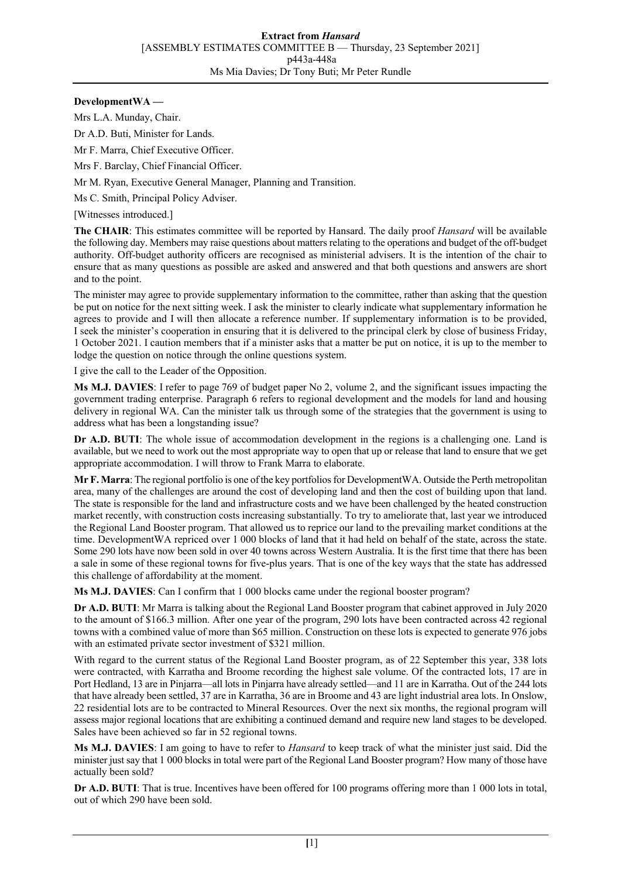## **DevelopmentWA —**

Mrs L.A. Munday, Chair.

Dr A.D. Buti, Minister for Lands.

Mr F. Marra, Chief Executive Officer.

Mrs F. Barclay, Chief Financial Officer.

Mr M. Ryan, Executive General Manager, Planning and Transition.

Ms C. Smith, Principal Policy Adviser.

[Witnesses introduced.]

**The CHAIR**: This estimates committee will be reported by Hansard. The daily proof *Hansard* will be available the following day. Members may raise questions about matters relating to the operations and budget of the off-budget authority. Off-budget authority officers are recognised as ministerial advisers. It is the intention of the chair to ensure that as many questions as possible are asked and answered and that both questions and answers are short and to the point.

The minister may agree to provide supplementary information to the committee, rather than asking that the question be put on notice for the next sitting week. I ask the minister to clearly indicate what supplementary information he agrees to provide and I will then allocate a reference number. If supplementary information is to be provided, I seek the minister's cooperation in ensuring that it is delivered to the principal clerk by close of business Friday, 1 October 2021. I caution members that if a minister asks that a matter be put on notice, it is up to the member to lodge the question on notice through the online questions system.

I give the call to the Leader of the Opposition.

**Ms M.J. DAVIES**: I refer to page 769 of budget paper No 2, volume 2, and the significant issues impacting the government trading enterprise. Paragraph 6 refers to regional development and the models for land and housing delivery in regional WA. Can the minister talk us through some of the strategies that the government is using to address what has been a longstanding issue?

**Dr A.D. BUTI**: The whole issue of accommodation development in the regions is a challenging one. Land is available, but we need to work out the most appropriate way to open that up or release that land to ensure that we get appropriate accommodation. I will throw to Frank Marra to elaborate.

**Mr F. Marra**: The regional portfolio is one of the key portfolios for DevelopmentWA. Outside the Perth metropolitan area, many of the challenges are around the cost of developing land and then the cost of building upon that land. The state is responsible for the land and infrastructure costs and we have been challenged by the heated construction market recently, with construction costs increasing substantially. To try to ameliorate that, last year we introduced the Regional Land Booster program. That allowed us to reprice our land to the prevailing market conditions at the time. DevelopmentWA repriced over 1 000 blocks of land that it had held on behalf of the state, across the state. Some 290 lots have now been sold in over 40 towns across Western Australia. It is the first time that there has been a sale in some of these regional towns for five-plus years. That is one of the key ways that the state has addressed this challenge of affordability at the moment.

**Ms M.J. DAVIES**: Can I confirm that 1 000 blocks came under the regional booster program?

**Dr A.D. BUTI**: Mr Marra is talking about the Regional Land Booster program that cabinet approved in July 2020 to the amount of \$166.3 million. After one year of the program, 290 lots have been contracted across 42 regional towns with a combined value of more than \$65 million. Construction on these lots is expected to generate 976 jobs with an estimated private sector investment of \$321 million.

With regard to the current status of the Regional Land Booster program, as of 22 September this year, 338 lots were contracted, with Karratha and Broome recording the highest sale volume. Of the contracted lots, 17 are in Port Hedland, 13 are in Pinjarra—all lots in Pinjarra have already settled—and 11 are in Karratha. Out of the 244 lots that have already been settled, 37 are in Karratha, 36 are in Broome and 43 are light industrial area lots. In Onslow, 22 residential lots are to be contracted to Mineral Resources. Over the next six months, the regional program will assess major regional locations that are exhibiting a continued demand and require new land stages to be developed. Sales have been achieved so far in 52 regional towns.

**Ms M.J. DAVIES**: I am going to have to refer to *Hansard* to keep track of what the minister just said. Did the minister just say that 1 000 blocks in total were part of the Regional Land Booster program? How many of those have actually been sold?

**Dr A.D. BUTI**: That is true. Incentives have been offered for 100 programs offering more than 1 000 lots in total, out of which 290 have been sold.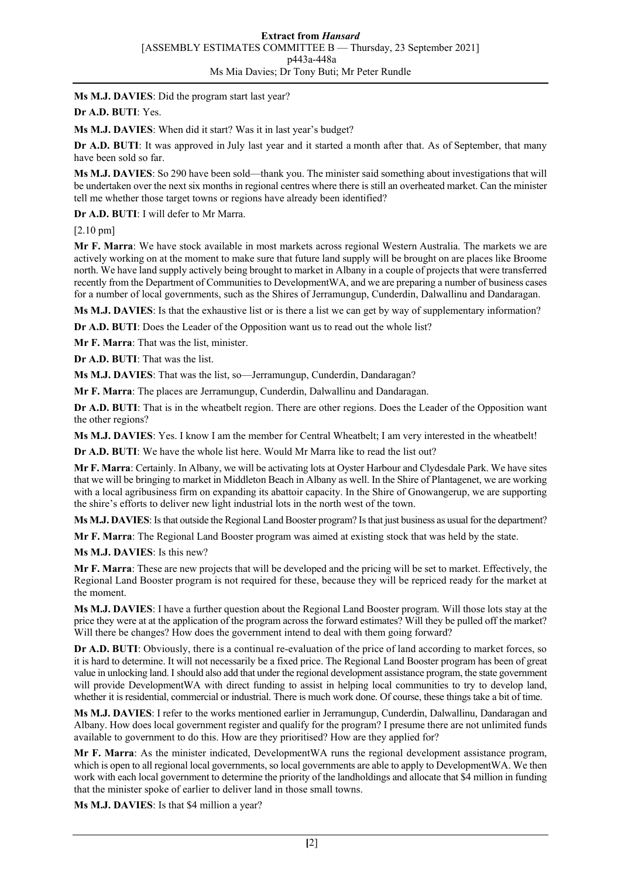**Ms M.J. DAVIES**: Did the program start last year?

**Dr A.D. BUTI**: Yes.

**Ms M.J. DAVIES**: When did it start? Was it in last year's budget?

**Dr A.D. BUTI**: It was approved in July last year and it started a month after that. As of September, that many have been sold so far.

**Ms M.J. DAVIES**: So 290 have been sold—thank you. The minister said something about investigations that will be undertaken over the next six months in regional centres where there is still an overheated market. Can the minister tell me whether those target towns or regions have already been identified?

**Dr A.D. BUTI**: I will defer to Mr Marra.

[2.10 pm]

**Mr F. Marra**: We have stock available in most markets across regional Western Australia. The markets we are actively working on at the moment to make sure that future land supply will be brought on are places like Broome north. We have land supply actively being brought to market in Albany in a couple of projects that were transferred recently from the Department of Communities to DevelopmentWA, and we are preparing a number of business cases for a number of local governments, such as the Shires of Jerramungup, Cunderdin, Dalwallinu and Dandaragan.

**Ms M.J. DAVIES**: Is that the exhaustive list or is there a list we can get by way of supplementary information?

**Dr A.D. BUTI**: Does the Leader of the Opposition want us to read out the whole list?

**Mr F. Marra**: That was the list, minister.

**Dr A.D. BUTI**: That was the list.

**Ms M.J. DAVIES**: That was the list, so—Jerramungup, Cunderdin, Dandaragan?

**Mr F. Marra**: The places are Jerramungup, Cunderdin, Dalwallinu and Dandaragan.

**Dr A.D. BUTI**: That is in the wheatbelt region. There are other regions. Does the Leader of the Opposition want the other regions?

**Ms M.J. DAVIES**: Yes. I know I am the member for Central Wheatbelt; I am very interested in the wheatbelt!

**Dr A.D. BUTI**: We have the whole list here. Would Mr Marra like to read the list out?

**Mr F. Marra**: Certainly. In Albany, we will be activating lots at Oyster Harbour and Clydesdale Park. We have sites that we will be bringing to market in Middleton Beach in Albany as well. In the Shire of Plantagenet, we are working with a local agribusiness firm on expanding its abattoir capacity. In the Shire of Gnowangerup, we are supporting the shire's efforts to deliver new light industrial lots in the north west of the town.

**Ms M.J. DAVIES**: Is that outside the Regional Land Booster program? Is that just business as usual for the department?

**Mr F. Marra**: The Regional Land Booster program was aimed at existing stock that was held by the state.

**Ms M.J. DAVIES**: Is this new?

**Mr F. Marra**: These are new projects that will be developed and the pricing will be set to market. Effectively, the Regional Land Booster program is not required for these, because they will be repriced ready for the market at the moment.

**Ms M.J. DAVIES**: I have a further question about the Regional Land Booster program. Will those lots stay at the price they were at at the application of the program across the forward estimates? Will they be pulled off the market? Will there be changes? How does the government intend to deal with them going forward?

**Dr A.D. BUTI:** Obviously, there is a continual re-evaluation of the price of land according to market forces, so it is hard to determine. It will not necessarily be a fixed price. The Regional Land Booster program has been of great value in unlocking land. I should also add that under the regional development assistance program, the state government will provide DevelopmentWA with direct funding to assist in helping local communities to try to develop land, whether it is residential, commercial or industrial. There is much work done. Of course, these things take a bit of time.

**Ms M.J. DAVIES**: I refer to the works mentioned earlier in Jerramungup, Cunderdin, Dalwallinu, Dandaragan and Albany. How does local government register and qualify for the program? I presume there are not unlimited funds available to government to do this. How are they prioritised? How are they applied for?

**Mr F. Marra**: As the minister indicated, DevelopmentWA runs the regional development assistance program, which is open to all regional local governments, so local governments are able to apply to DevelopmentWA. We then work with each local government to determine the priority of the landholdings and allocate that \$4 million in funding that the minister spoke of earlier to deliver land in those small towns.

**Ms M.J. DAVIES**: Is that \$4 million a year?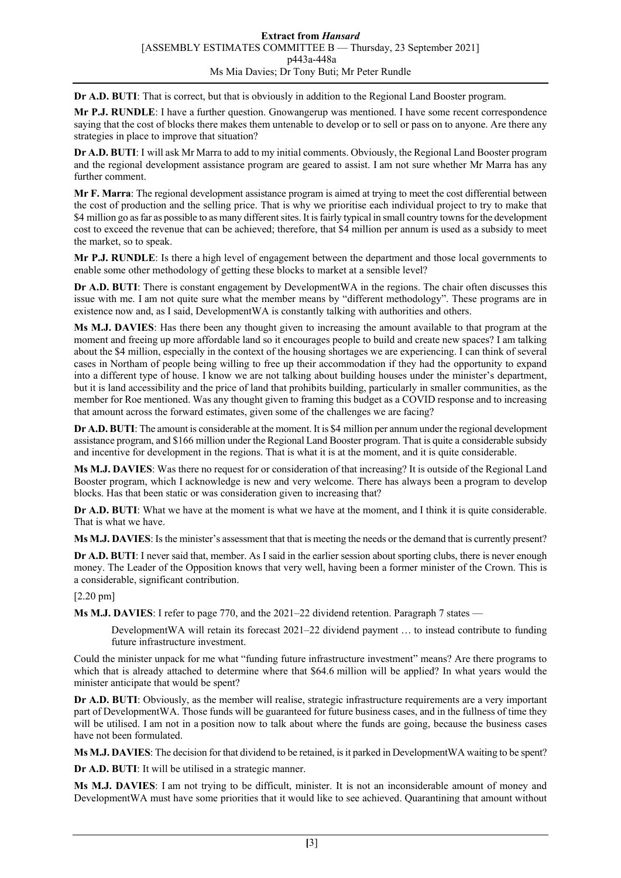**Dr A.D. BUTI**: That is correct, but that is obviously in addition to the Regional Land Booster program.

**Mr P.J. RUNDLE**: I have a further question. Gnowangerup was mentioned. I have some recent correspondence saying that the cost of blocks there makes them untenable to develop or to sell or pass on to anyone. Are there any strategies in place to improve that situation?

**Dr A.D. BUTI**: I will ask Mr Marra to add to my initial comments. Obviously, the Regional Land Booster program and the regional development assistance program are geared to assist. I am not sure whether Mr Marra has any further comment.

**Mr F. Marra**: The regional development assistance program is aimed at trying to meet the cost differential between the cost of production and the selling price. That is why we prioritise each individual project to try to make that \$4 million go as far as possible to as many different sites. It is fairly typical in small country towns for the development cost to exceed the revenue that can be achieved; therefore, that \$4 million per annum is used as a subsidy to meet the market, so to speak.

**Mr P.J. RUNDLE**: Is there a high level of engagement between the department and those local governments to enable some other methodology of getting these blocks to market at a sensible level?

**Dr A.D. BUTI**: There is constant engagement by DevelopmentWA in the regions. The chair often discusses this issue with me. I am not quite sure what the member means by "different methodology". These programs are in existence now and, as I said, DevelopmentWA is constantly talking with authorities and others.

**Ms M.J. DAVIES**: Has there been any thought given to increasing the amount available to that program at the moment and freeing up more affordable land so it encourages people to build and create new spaces? I am talking about the \$4 million, especially in the context of the housing shortages we are experiencing. I can think of several cases in Northam of people being willing to free up their accommodation if they had the opportunity to expand into a different type of house. I know we are not talking about building houses under the minister's department, but it is land accessibility and the price of land that prohibits building, particularly in smaller communities, as the member for Roe mentioned. Was any thought given to framing this budget as a COVID response and to increasing that amount across the forward estimates, given some of the challenges we are facing?

**Dr A.D. BUTI**: The amount is considerable at the moment. It is \$4 million per annum under the regional development assistance program, and \$166 million under the Regional Land Booster program. That is quite a considerable subsidy and incentive for development in the regions. That is what it is at the moment, and it is quite considerable.

**Ms M.J. DAVIES**: Was there no request for or consideration of that increasing? It is outside of the Regional Land Booster program, which I acknowledge is new and very welcome. There has always been a program to develop blocks. Has that been static or was consideration given to increasing that?

**Dr A.D. BUTI**: What we have at the moment is what we have at the moment, and I think it is quite considerable. That is what we have.

**Ms M.J. DAVIES**: Is the minister's assessment that that is meeting the needs or the demand that is currently present?

**Dr A.D. BUTI:** I never said that, member. As I said in the earlier session about sporting clubs, there is never enough money. The Leader of the Opposition knows that very well, having been a former minister of the Crown. This is a considerable, significant contribution.

[2.20 pm]

**Ms M.J. DAVIES**: I refer to page 770, and the 2021–22 dividend retention. Paragraph 7 states —

DevelopmentWA will retain its forecast 2021–22 dividend payment … to instead contribute to funding future infrastructure investment.

Could the minister unpack for me what "funding future infrastructure investment" means? Are there programs to which that is already attached to determine where that \$64.6 million will be applied? In what years would the minister anticipate that would be spent?

**Dr A.D. BUTI**: Obviously, as the member will realise, strategic infrastructure requirements are a very important part of DevelopmentWA. Those funds will be guaranteed for future business cases, and in the fullness of time they will be utilised. I am not in a position now to talk about where the funds are going, because the business cases have not been formulated.

**Ms M.J. DAVIES**: The decision for that dividend to be retained, is it parked in DevelopmentWA waiting to be spent?

**Dr A.D. BUTI**: It will be utilised in a strategic manner.

**Ms M.J. DAVIES**: I am not trying to be difficult, minister. It is not an inconsiderable amount of money and DevelopmentWA must have some priorities that it would like to see achieved. Quarantining that amount without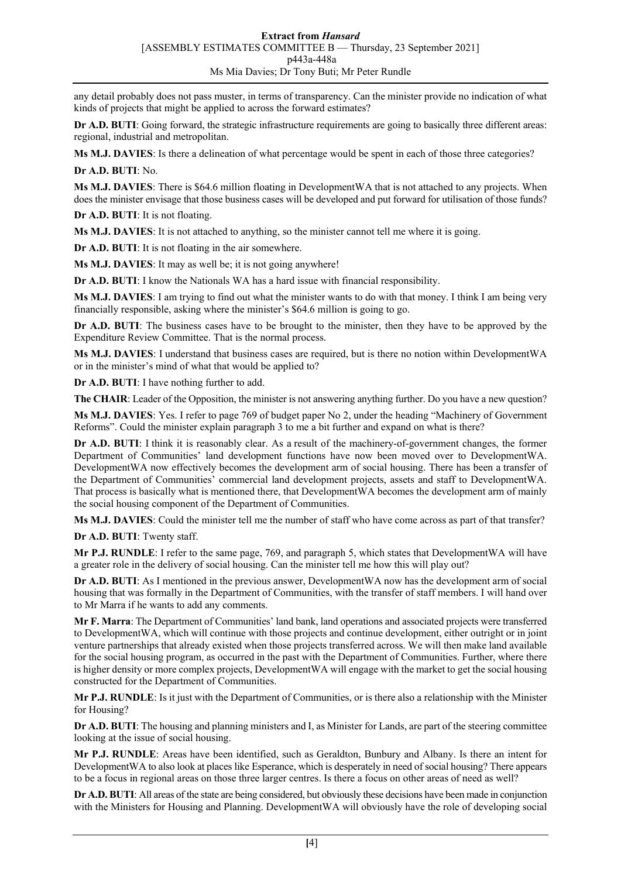any detail probably does not pass muster, in terms of transparency. Can the minister provide no indication of what kinds of projects that might be applied to across the forward estimates?

**Dr A.D. BUTI**: Going forward, the strategic infrastructure requirements are going to basically three different areas: regional, industrial and metropolitan.

**Ms M.J. DAVIES**: Is there a delineation of what percentage would be spent in each of those three categories?

**Dr A.D. BUTI**: No.

**Ms M.J. DAVIES**: There is \$64.6 million floating in DevelopmentWA that is not attached to any projects. When does the minister envisage that those business cases will be developed and put forward for utilisation of those funds?

**Dr A.D. BUTI**: It is not floating.

**Ms M.J. DAVIES**: It is not attached to anything, so the minister cannot tell me where it is going.

**Dr A.D. BUTI**: It is not floating in the air somewhere.

**Ms M.J. DAVIES**: It may as well be; it is not going anywhere!

**Dr A.D. BUTI**: I know the Nationals WA has a hard issue with financial responsibility.

**Ms M.J. DAVIES**: I am trying to find out what the minister wants to do with that money. I think I am being very financially responsible, asking where the minister's \$64.6 million is going to go.

**Dr A.D. BUTI**: The business cases have to be brought to the minister, then they have to be approved by the Expenditure Review Committee. That is the normal process.

**Ms M.J. DAVIES**: I understand that business cases are required, but is there no notion within DevelopmentWA or in the minister's mind of what that would be applied to?

**Dr A.D. BUTI**: I have nothing further to add.

**The CHAIR**: Leader of the Opposition, the minister is not answering anything further. Do you have a new question?

**Ms M.J. DAVIES**: Yes. I refer to page 769 of budget paper No 2, under the heading "Machinery of Government Reforms". Could the minister explain paragraph 3 to me a bit further and expand on what is there?

**Dr A.D. BUTI**: I think it is reasonably clear. As a result of the machinery-of-government changes, the former Department of Communities' land development functions have now been moved over to DevelopmentWA. DevelopmentWA now effectively becomes the development arm of social housing. There has been a transfer of the Department of Communities' commercial land development projects, assets and staff to DevelopmentWA. That process is basically what is mentioned there, that DevelopmentWA becomes the development arm of mainly the social housing component of the Department of Communities.

**Ms M.J. DAVIES**: Could the minister tell me the number of staff who have come across as part of that transfer?

**Dr A.D. BUTI**: Twenty staff.

**Mr P.J. RUNDLE**: I refer to the same page, 769, and paragraph 5, which states that DevelopmentWA will have a greater role in the delivery of social housing. Can the minister tell me how this will play out?

**Dr A.D. BUTI**: As I mentioned in the previous answer, DevelopmentWA now has the development arm of social housing that was formally in the Department of Communities, with the transfer of staff members. I will hand over to Mr Marra if he wants to add any comments.

**Mr F. Marra**: The Department of Communities' land bank, land operations and associated projects were transferred to DevelopmentWA, which will continue with those projects and continue development, either outright or in joint venture partnerships that already existed when those projects transferred across. We will then make land available for the social housing program, as occurred in the past with the Department of Communities. Further, where there is higher density or more complex projects, DevelopmentWA will engage with the market to get the social housing constructed for the Department of Communities.

**Mr P.J. RUNDLE**: Is it just with the Department of Communities, or is there also a relationship with the Minister for Housing?

**Dr A.D. BUTI**: The housing and planning ministers and I, as Minister for Lands, are part of the steering committee looking at the issue of social housing.

**Mr P.J. RUNDLE**: Areas have been identified, such as Geraldton, Bunbury and Albany. Is there an intent for DevelopmentWA to also look at places like Esperance, which is desperately in need of social housing? There appears to be a focus in regional areas on those three larger centres. Is there a focus on other areas of need as well?

**Dr A.D. BUTI**: All areas of the state are being considered, but obviously these decisions have been made in conjunction with the Ministers for Housing and Planning. DevelopmentWA will obviously have the role of developing social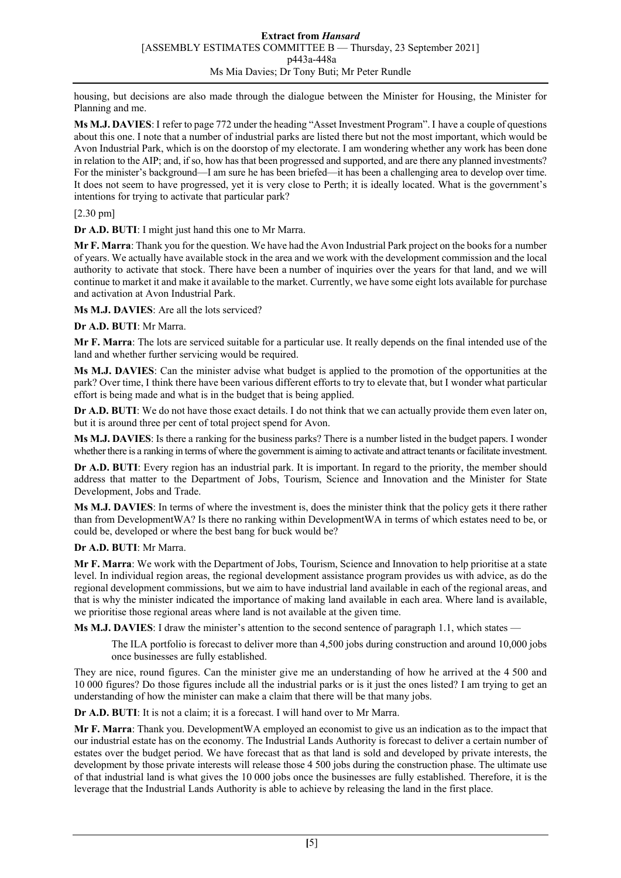housing, but decisions are also made through the dialogue between the Minister for Housing, the Minister for Planning and me.

**Ms M.J. DAVIES**: I refer to page 772 under the heading "Asset Investment Program". I have a couple of questions about this one. I note that a number of industrial parks are listed there but not the most important, which would be Avon Industrial Park, which is on the doorstop of my electorate. I am wondering whether any work has been done in relation to the AIP; and, if so, how has that been progressed and supported, and are there any planned investments? For the minister's background—I am sure he has been briefed—it has been a challenging area to develop over time. It does not seem to have progressed, yet it is very close to Perth; it is ideally located. What is the government's intentions for trying to activate that particular park?

## [2.30 pm]

**Dr A.D. BUTI**: I might just hand this one to Mr Marra.

**Mr F. Marra**: Thank you for the question. We have had the Avon Industrial Park project on the books for a number of years. We actually have available stock in the area and we work with the development commission and the local authority to activate that stock. There have been a number of inquiries over the years for that land, and we will continue to market it and make it available to the market. Currently, we have some eight lots available for purchase and activation at Avon Industrial Park.

**Ms M.J. DAVIES**: Are all the lots serviced?

**Dr A.D. BUTI**: Mr Marra.

**Mr F. Marra**: The lots are serviced suitable for a particular use. It really depends on the final intended use of the land and whether further servicing would be required.

**Ms M.J. DAVIES**: Can the minister advise what budget is applied to the promotion of the opportunities at the park? Over time, I think there have been various different efforts to try to elevate that, but I wonder what particular effort is being made and what is in the budget that is being applied.

**Dr A.D. BUTI**: We do not have those exact details. I do not think that we can actually provide them even later on, but it is around three per cent of total project spend for Avon.

**Ms M.J. DAVIES**: Is there a ranking for the business parks? There is a number listed in the budget papers. I wonder whether there is a ranking in terms of where the government is aiming to activate and attract tenants or facilitate investment.

**Dr A.D. BUTI**: Every region has an industrial park. It is important. In regard to the priority, the member should address that matter to the Department of Jobs, Tourism, Science and Innovation and the Minister for State Development, Jobs and Trade.

**Ms M.J. DAVIES**: In terms of where the investment is, does the minister think that the policy gets it there rather than from DevelopmentWA? Is there no ranking within DevelopmentWA in terms of which estates need to be, or could be, developed or where the best bang for buck would be?

## **Dr A.D. BUTI**: Mr Marra.

**Mr F. Marra**: We work with the Department of Jobs, Tourism, Science and Innovation to help prioritise at a state level. In individual region areas, the regional development assistance program provides us with advice, as do the regional development commissions, but we aim to have industrial land available in each of the regional areas, and that is why the minister indicated the importance of making land available in each area. Where land is available, we prioritise those regional areas where land is not available at the given time.

**Ms M.J. DAVIES**: I draw the minister's attention to the second sentence of paragraph 1.1, which states —

The ILA portfolio is forecast to deliver more than 4,500 jobs during construction and around 10,000 jobs once businesses are fully established.

They are nice, round figures. Can the minister give me an understanding of how he arrived at the 4 500 and 10 000 figures? Do those figures include all the industrial parks or is it just the ones listed? I am trying to get an understanding of how the minister can make a claim that there will be that many jobs.

**Dr A.D. BUTI**: It is not a claim; it is a forecast. I will hand over to Mr Marra.

**Mr F. Marra**: Thank you. DevelopmentWA employed an economist to give us an indication as to the impact that our industrial estate has on the economy. The Industrial Lands Authority is forecast to deliver a certain number of estates over the budget period. We have forecast that as that land is sold and developed by private interests, the development by those private interests will release those 4 500 jobs during the construction phase. The ultimate use of that industrial land is what gives the 10 000 jobs once the businesses are fully established. Therefore, it is the leverage that the Industrial Lands Authority is able to achieve by releasing the land in the first place.